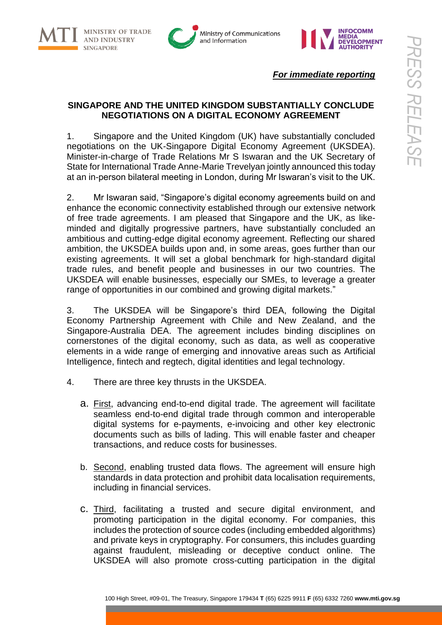





*For immediate reporting*

# **SINGAPORE AND THE UNITED KINGDOM SUBSTANTIALLY CONCLUDE NEGOTIATIONS ON A DIGITAL ECONOMY AGREEMENT**

1. Singapore and the United Kingdom (UK) have substantially concluded negotiations on the UK-Singapore Digital Economy Agreement (UKSDEA). Minister-in-charge of Trade Relations Mr S Iswaran and the UK Secretary of State for International Trade Anne-Marie Trevelyan jointly announced this today at an in-person bilateral meeting in London, during Mr Iswaran's visit to the UK.

2. Mr Iswaran said, "Singapore's digital economy agreements build on and enhance the economic connectivity established through our extensive network of free trade agreements. I am pleased that Singapore and the UK, as likeminded and digitally progressive partners, have substantially concluded an ambitious and cutting-edge digital economy agreement. Reflecting our shared ambition, the UKSDEA builds upon and, in some areas, goes further than our existing agreements. It will set a global benchmark for high-standard digital trade rules, and benefit people and businesses in our two countries. The UKSDEA will enable businesses, especially our SMEs, to leverage a greater range of opportunities in our combined and growing digital markets."

3. The UKSDEA will be Singapore's third DEA, following the Digital Economy Partnership Agreement with Chile and New Zealand, and the Singapore-Australia DEA. The agreement includes binding disciplines on cornerstones of the digital economy, such as data, as well as cooperative elements in a wide range of emerging and innovative areas such as Artificial Intelligence, fintech and regtech, digital identities and legal technology.

- 4. There are three key thrusts in the UKSDEA.
	- a. First, advancing end-to-end digital trade. The agreement will facilitate seamless end-to-end digital trade through common and interoperable digital systems for e-payments, e-invoicing and other key electronic documents such as bills of lading. This will enable faster and cheaper transactions, and reduce costs for businesses.
	- b. Second, enabling trusted data flows. The agreement will ensure high standards in data protection and prohibit data localisation requirements, including in financial services.
	- c. Third, facilitating a trusted and secure digital environment, and promoting participation in the digital economy. For companies, this includes the protection of source codes (including embedded algorithms) and private keys in cryptography. For consumers, this includes guarding against fraudulent, misleading or deceptive conduct online. The UKSDEA will also promote cross-cutting participation in the digital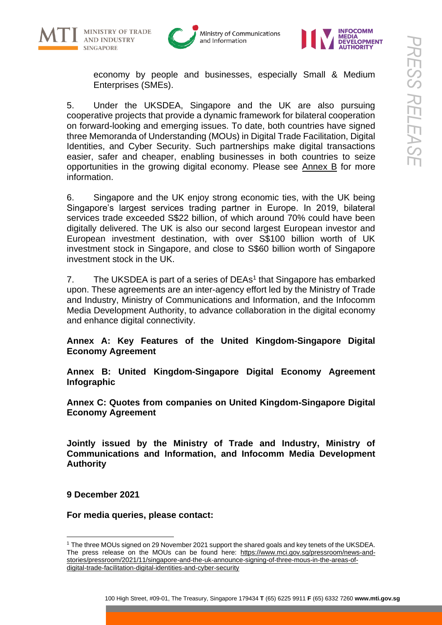





economy by people and businesses, especially Small & Medium Enterprises (SMEs).

5. Under the UKSDEA, Singapore and the UK are also pursuing cooperative projects that provide a dynamic framework for bilateral cooperation on forward-looking and emerging issues. To date, both countries have signed three Memoranda of Understanding (MOUs) in Digital Trade Facilitation, Digital Identities, and Cyber Security. Such partnerships make digital transactions easier, safer and cheaper, enabling businesses in both countries to seize opportunities in the growing digital economy. Please see Annex B for more information.

6. Singapore and the UK enjoy strong economic ties, with the UK being Singapore's largest services trading partner in Europe. In 2019, bilateral services trade exceeded S\$22 billion, of which around 70% could have been digitally delivered. The UK is also our second largest European investor and European investment destination, with over S\$100 billion worth of UK investment stock in Singapore, and close to S\$60 billion worth of Singapore investment stock in the UK.

7. The UKSDEA is part of a series of DEAs<sup>1</sup> that Singapore has embarked upon. These agreements are an inter-agency effort led by the Ministry of Trade and Industry, Ministry of Communications and Information, and the Infocomm Media Development Authority, to advance collaboration in the digital economy and enhance digital connectivity.

**Annex A: Key Features of the United Kingdom-Singapore Digital Economy Agreement**

**Annex B: United Kingdom-Singapore Digital Economy Agreement Infographic**

**Annex C: Quotes from companies on United Kingdom-Singapore Digital Economy Agreement**

**Jointly issued by the Ministry of Trade and Industry, Ministry of Communications and Information, and Infocomm Media Development Authority** 

**9 December 2021**

**For media queries, please contact:**

<sup>1</sup> The three MOUs signed on 29 November 2021 support the shared goals and key tenets of the UKSDEA. The press release on the MOUs can be found here: https://www.mci.gov.sq/pressroom/news-and[stories/pressroom/2021/11/singapore-and-the-uk-announce-signing-of-three-mous-in-the-areas-of](https://www.mci.gov.sg/pressroom/news-and-stories/pressroom/2021/11/singapore-and-the-uk-announce-signing-of-three-mous-in-the-areas-of-digital-trade-facilitation-digital-identities-and-cyber-security)[digital-trade-facilitation-digital-identities-and-cyber-security](https://www.mci.gov.sg/pressroom/news-and-stories/pressroom/2021/11/singapore-and-the-uk-announce-signing-of-three-mous-in-the-areas-of-digital-trade-facilitation-digital-identities-and-cyber-security)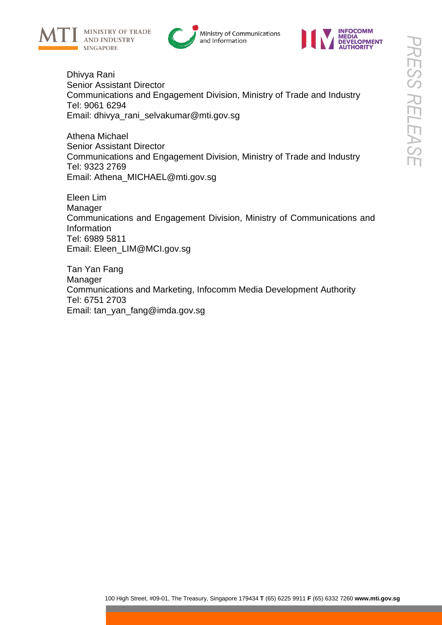





Dhivya Rani Senior Assistant Director Communications and Engagement Division, Ministry of Trade and Industry Tel: 9061 6294 Email: [dhivya\\_rani\\_selvakumar@mti.gov.sg](mailto:dhivya_rani_selvakumar@mti.gov.sg)

Athena Michael Senior Assistant Director Communications and Engagement Division, Ministry of Trade and Industry Tel: 9323 2769 Email: Athena\_MICHAEL@mti.gov.sg

Eleen Lim Manager Communications and Engagement Division, Ministry of Communications and Information Tel: 6989 5811 Email: Eleen\_LIM@MCI.gov.sg

Tan Yan Fang Manager Communications and Marketing, Infocomm Media Development Authority Tel: 6751 2703 Email: [tan\\_yan\\_fang@imda.gov.sg](mailto:tan_yan_fang@imda.gov.sg)

a sa mga bayang sa pag-ang pag-ang pag-ang pag-ang pag-ang pag-ang pag-ang pag-ang pag-ang pag-ang pag-ang pag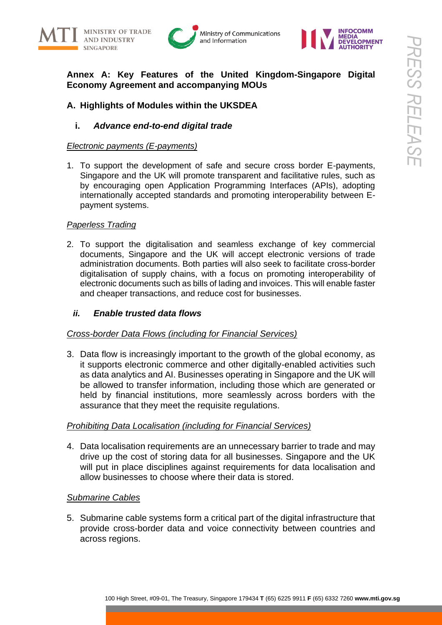







# **Annex A: Key Features of the United Kingdom-Singapore Digital Economy Agreement and accompanying MOUs**

# **A. Highlights of Modules within the UKSDEA**

# **i.** *Advance end-to-end digital trade*

## *Electronic payments (E-payments)*

1. To support the development of safe and secure cross border E-payments, Singapore and the UK will promote transparent and facilitative rules, such as by encouraging open Application Programming Interfaces (APIs), adopting internationally accepted standards and promoting interoperability between Epayment systems.

## *Paperless Trading*

2. To support the digitalisation and seamless exchange of key commercial documents, Singapore and the UK will accept electronic versions of trade administration documents. Both parties will also seek to facilitate cross-border digitalisation of supply chains, with a focus on promoting interoperability of electronic documents such as bills of lading and invoices. This will enable faster and cheaper transactions, and reduce cost for businesses.

# *ii. Enable trusted data flows*

## *Cross-border Data Flows (including for Financial Services)*

3. Data flow is increasingly important to the growth of the global economy, as it supports electronic commerce and other digitally-enabled activities such as data analytics and AI. Businesses operating in Singapore and the UK will be allowed to transfer information, including those which are generated or held by financial institutions, more seamlessly across borders with the assurance that they meet the requisite regulations.

## *Prohibiting Data Localisation (including for Financial Services)*

4. Data localisation requirements are an unnecessary barrier to trade and may drive up the cost of storing data for all businesses. Singapore and the UK will put in place disciplines against requirements for data localisation and allow businesses to choose where their data is stored.

## *Submarine Cables*

5. Submarine cable systems form a critical part of the digital infrastructure that provide cross-border data and voice connectivity between countries and across regions.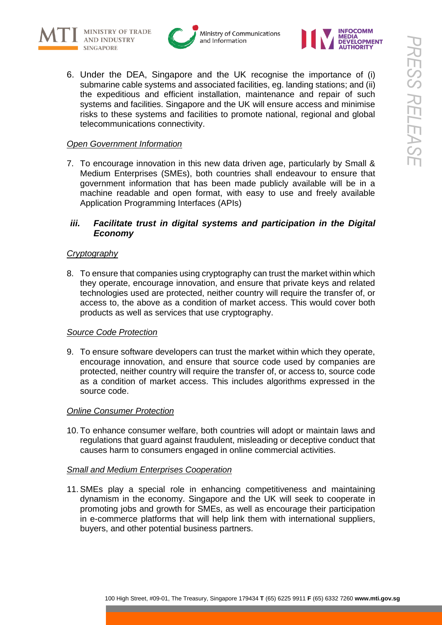







6. Under the DEA, Singapore and the UK recognise the importance of (i) submarine cable systems and associated facilities, eg. landing stations; and (ii) the expeditious and efficient installation, maintenance and repair of such systems and facilities. Singapore and the UK will ensure access and minimise risks to these systems and facilities to promote national, regional and global telecommunications connectivity.

# *Open Government Information*

7. To encourage innovation in this new data driven age, particularly by Small & Medium Enterprises (SMEs), both countries shall endeavour to ensure that government information that has been made publicly available will be in a machine readable and open format, with easy to use and freely available Application Programming Interfaces (APIs)

# *iii. Facilitate trust in digital systems and participation in the Digital Economy*

# *Cryptography*

8. To ensure that companies using cryptography can trust the market within which they operate, encourage innovation, and ensure that private keys and related technologies used are protected, neither country will require the transfer of, or access to, the above as a condition of market access. This would cover both products as well as services that use cryptography.

## *Source Code Protection*

9. To ensure software developers can trust the market within which they operate, encourage innovation, and ensure that source code used by companies are protected, neither country will require the transfer of, or access to, source code as a condition of market access. This includes algorithms expressed in the source code.

## *Online Consumer Protection*

10. To enhance consumer welfare, both countries will adopt or maintain laws and regulations that guard against fraudulent, misleading or deceptive conduct that causes harm to consumers engaged in online commercial activities.

## *Small and Medium Enterprises Cooperation*

11. SMEs play a special role in enhancing competitiveness and maintaining dynamism in the economy. Singapore and the UK will seek to cooperate in promoting jobs and growth for SMEs, as well as encourage their participation in e-commerce platforms that will help link them with international suppliers, buyers, and other potential business partners.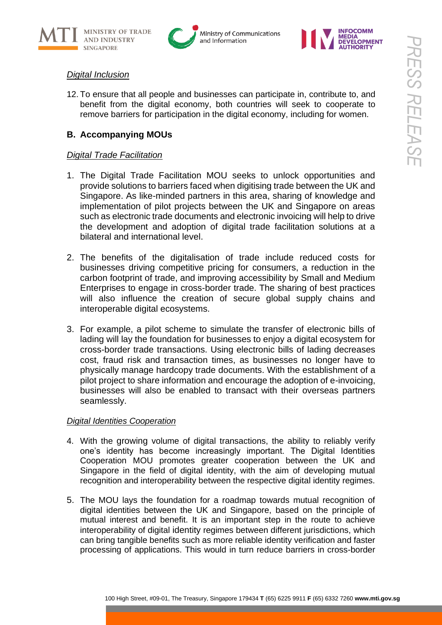







# *Digital Inclusion*

12. To ensure that all people and businesses can participate in, contribute to, and benefit from the digital economy, both countries will seek to cooperate to remove barriers for participation in the digital economy, including for women.

# **B. Accompanying MOUs**

# *Digital Trade Facilitation*

- 1. The Digital Trade Facilitation MOU seeks to unlock opportunities and provide solutions to barriers faced when digitising trade between the UK and Singapore. As like-minded partners in this area, sharing of knowledge and implementation of pilot projects between the UK and Singapore on areas such as electronic trade documents and electronic invoicing will help to drive the development and adoption of digital trade facilitation solutions at a bilateral and international level.
- 2. The benefits of the digitalisation of trade include reduced costs for businesses driving competitive pricing for consumers, a reduction in the carbon footprint of trade, and improving accessibility by Small and Medium Enterprises to engage in cross-border trade. The sharing of best practices will also influence the creation of secure global supply chains and interoperable digital ecosystems.
- 3. For example, a pilot scheme to simulate the transfer of electronic bills of lading will lay the foundation for businesses to enjoy a digital ecosystem for cross-border trade transactions. Using electronic bills of lading decreases cost, fraud risk and transaction times, as businesses no longer have to physically manage hardcopy trade documents. With the establishment of a pilot project to share information and encourage the adoption of e-invoicing, businesses will also be enabled to transact with their overseas partners seamlessly.

# *Digital Identities Cooperation*

- 4. With the growing volume of digital transactions, the ability to reliably verify one's identity has become increasingly important. The Digital Identities Cooperation MOU promotes greater cooperation between the UK and Singapore in the field of digital identity, with the aim of developing mutual recognition and interoperability between the respective digital identity regimes.
- 5. The MOU lays the foundation for a roadmap towards mutual recognition of digital identities between the UK and Singapore, based on the principle of mutual interest and benefit. It is an important step in the route to achieve interoperability of digital identity regimes between different jurisdictions, which can bring tangible benefits such as more reliable identity verification and faster processing of applications. This would in turn reduce barriers in cross-border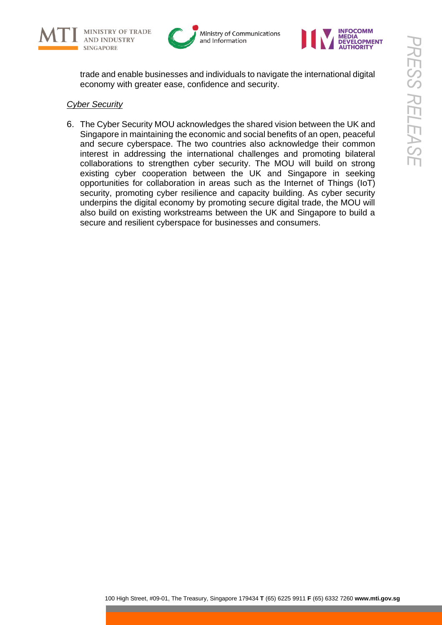







trade and enable businesses and individuals to navigate the international digital economy with greater ease, confidence and security.

# *Cyber Security*

6. The Cyber Security MOU acknowledges the shared vision between the UK and Singapore in maintaining the economic and social benefits of an open, peaceful and secure cyberspace. The two countries also acknowledge their common interest in addressing the international challenges and promoting bilateral collaborations to strengthen cyber security. The MOU will build on strong existing cyber cooperation between the UK and Singapore in seeking opportunities for collaboration in areas such as the Internet of Things (IoT) security, promoting cyber resilience and capacity building. As cyber security underpins the digital economy by promoting secure digital trade, the MOU will also build on existing workstreams between the UK and Singapore to build a secure and resilient cyberspace for businesses and consumers.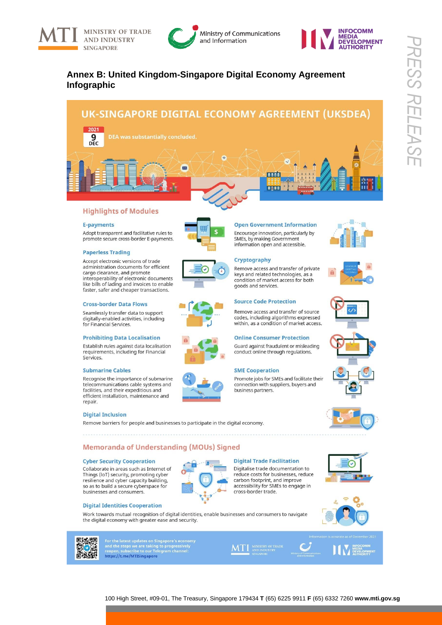





# **Annex B: United Kingdom-Singapore Digital Economy Agreement Infographic**



#### **Highlights of Modules**

#### **E-payments**

Adopt transparent and facilitative rules to promote secure cross-border E-payments.

#### **Paperless Trading**

Accept electronic versions of trade administration documents for efficient cargo clearance, and promote interoperability of electronic documents like bills of lading and invoices to enable faster, safer and cheaper transactions.

#### **Cross-border Data Flows**

Seamlessly transfer data to support digitally-enabled activities, including for Financial Services

#### **Prohibiting Data Localisation**

Establish rules against data localisation requirements, including for Financial Services.

#### **Submarine Cables**

Recognise the importance of submarine telecommunications cable systems and<br>facilities, and their expeditious and efficient installation, maintenance and repair.

#### **Digital Inclusion**

Remove barriers for people and businesses to participate in the digital economy.

#### **Memoranda of Understanding (MOUs) Signed**

#### **Cyber Security Cooperation**

Collaborate in areas such as Internet of Things (IoT) security, promoting cyber resilience and cyber capacity building, so as to build a secure cyberspace for businesses and consumers.



#### **Digital Trade Facilitation** Digitalise trade documentation to

reduce costs for businesses, reduce carbon footprint, and improve<br>accessibility for SMEs to engage in cross-border trade.

**Open Government Information** 

Encourage innovation, particularly by

Remove access and transfer of private

Remove access and transfer of source

codes, including algorithms expressed<br>within, as a condition of market access.

Guard against fraudulent or misleading

Promote jobs for SMEs and facilitate their

connection with suppliers, buyers and

**Online Consumer Protection** 

conduct online through regulations.

keys and related technologies, as a

condition of market access for both

SMEs, by making Government information open and accessible.

Cryptography

goods and services.

**SME Cooperation** 

business partners.

**Source Code Protection** 



Work towards mutual recognition of digital identities, enable businesses and consumers to navigate the digital economy with greater ease and security.



For the latest updates on Singapore's econom<br>and the steps we are taking to progressively<br>reopen, subscribe to our Telegram channel: https://t.me/MTISingapore

















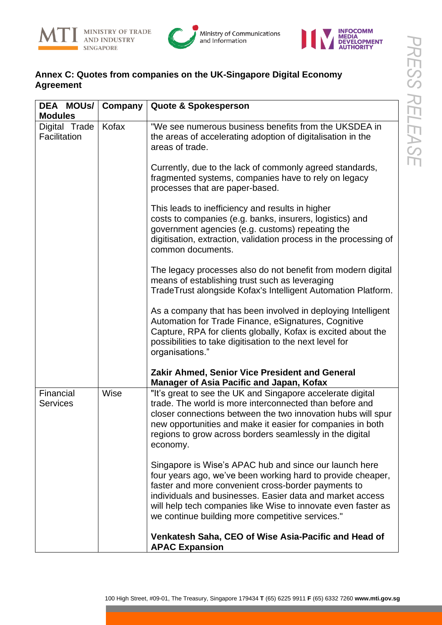



# **Annex C: Quotes from companies on the UK-Singapore Digital Economy Agreement**

| DEA MOUS/<br><b>Modules</b>   | Company | <b>Quote &amp; Spokesperson</b>                                                                                                                                                                                                                                                                                                                                |
|-------------------------------|---------|----------------------------------------------------------------------------------------------------------------------------------------------------------------------------------------------------------------------------------------------------------------------------------------------------------------------------------------------------------------|
| Digital Trade<br>Facilitation | Kofax   | "We see numerous business benefits from the UKSDEA in<br>the areas of accelerating adoption of digitalisation in the<br>areas of trade.                                                                                                                                                                                                                        |
|                               |         | Currently, due to the lack of commonly agreed standards,<br>fragmented systems, companies have to rely on legacy<br>processes that are paper-based.                                                                                                                                                                                                            |
|                               |         | This leads to inefficiency and results in higher<br>costs to companies (e.g. banks, insurers, logistics) and<br>government agencies (e.g. customs) repeating the<br>digitisation, extraction, validation process in the processing of<br>common documents.                                                                                                     |
|                               |         | The legacy processes also do not benefit from modern digital<br>means of establishing trust such as leveraging<br>TradeTrust alongside Kofax's Intelligent Automation Platform.                                                                                                                                                                                |
|                               |         | As a company that has been involved in deploying Intelligent<br>Automation for Trade Finance, eSignatures, Cognitive<br>Capture, RPA for clients globally, Kofax is excited about the<br>possibilities to take digitisation to the next level for<br>organisations."                                                                                           |
|                               |         | Zakir Ahmed, Senior Vice President and General<br><b>Manager of Asia Pacific and Japan, Kofax</b>                                                                                                                                                                                                                                                              |
| Financial<br><b>Services</b>  | Wise    | "It's great to see the UK and Singapore accelerate digital<br>trade. The world is more interconnected than before and<br>closer connections between the two innovation hubs will spur<br>new opportunities and make it easier for companies in both<br>regions to grow across borders seamlessly in the digital<br>economy.                                    |
|                               |         | Singapore is Wise's APAC hub and since our launch here<br>four years ago, we've been working hard to provide cheaper,<br>faster and more convenient cross-border payments to<br>individuals and businesses. Easier data and market access<br>will help tech companies like Wise to innovate even faster as<br>we continue building more competitive services." |
|                               |         | Venkatesh Saha, CEO of Wise Asia-Pacific and Head of<br><b>APAC Expansion</b>                                                                                                                                                                                                                                                                                  |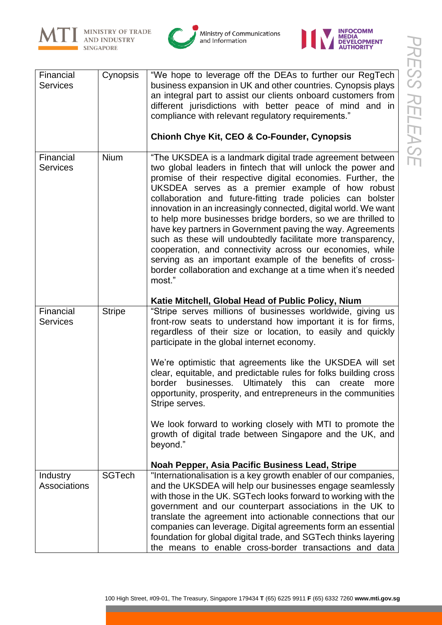



Ministry of Communications<br>and Information



| Financial<br><b>Services</b>    | Cynopsis      | "We hope to leverage off the DEAs to further our RegTech<br>business expansion in UK and other countries. Cynopsis plays<br>an integral part to assist our clients onboard customers from<br>different jurisdictions with better peace of mind and in<br>compliance with relevant regulatory requirements."<br><b>Chionh Chye Kit, CEO &amp; Co-Founder, Cynopsis</b>                                                                                                                                                                                                                                                                                                                                                                                                             |
|---------------------------------|---------------|-----------------------------------------------------------------------------------------------------------------------------------------------------------------------------------------------------------------------------------------------------------------------------------------------------------------------------------------------------------------------------------------------------------------------------------------------------------------------------------------------------------------------------------------------------------------------------------------------------------------------------------------------------------------------------------------------------------------------------------------------------------------------------------|
| Financial<br><b>Services</b>    | <b>Nium</b>   | "The UKSDEA is a landmark digital trade agreement between<br>two global leaders in fintech that will unlock the power and<br>promise of their respective digital economies. Further, the<br>UKSDEA serves as a premier example of how robust<br>collaboration and future-fitting trade policies can bolster<br>innovation in an increasingly connected, digital world. We want<br>to help more businesses bridge borders, so we are thrilled to<br>have key partners in Government paving the way. Agreements<br>such as these will undoubtedly facilitate more transparency,<br>cooperation, and connectivity across our economies, while<br>serving as an important example of the benefits of cross-<br>border collaboration and exchange at a time when it's needed<br>most." |
|                                 |               | Katie Mitchell, Global Head of Public Policy, Nium                                                                                                                                                                                                                                                                                                                                                                                                                                                                                                                                                                                                                                                                                                                                |
| Financial<br><b>Services</b>    | <b>Stripe</b> | "Stripe serves millions of businesses worldwide, giving us<br>front-row seats to understand how important it is for firms,<br>regardless of their size or location, to easily and quickly<br>participate in the global internet economy.                                                                                                                                                                                                                                                                                                                                                                                                                                                                                                                                          |
|                                 |               | We're optimistic that agreements like the UKSDEA will set<br>clear, equitable, and predictable rules for folks building cross<br>businesses. Ultimately this can<br>border<br>create<br>more<br>opportunity, prosperity, and entrepreneurs in the communities<br>Stripe serves.                                                                                                                                                                                                                                                                                                                                                                                                                                                                                                   |
|                                 |               | We look forward to working closely with MTI to promote the<br>growth of digital trade between Singapore and the UK, and<br>beyond."                                                                                                                                                                                                                                                                                                                                                                                                                                                                                                                                                                                                                                               |
|                                 |               | Noah Pepper, Asia Pacific Business Lead, Stripe                                                                                                                                                                                                                                                                                                                                                                                                                                                                                                                                                                                                                                                                                                                                   |
| <b>Industry</b><br>Associations | <b>SGTech</b> | "Internationalisation is a key growth enabler of our companies,<br>and the UKSDEA will help our businesses engage seamlessly<br>with those in the UK. SGTech looks forward to working with the<br>government and our counterpart associations in the UK to<br>translate the agreement into actionable connections that our<br>companies can leverage. Digital agreements form an essential<br>foundation for global digital trade, and SGTech thinks layering<br>the means to enable cross-border transactions and data                                                                                                                                                                                                                                                           |